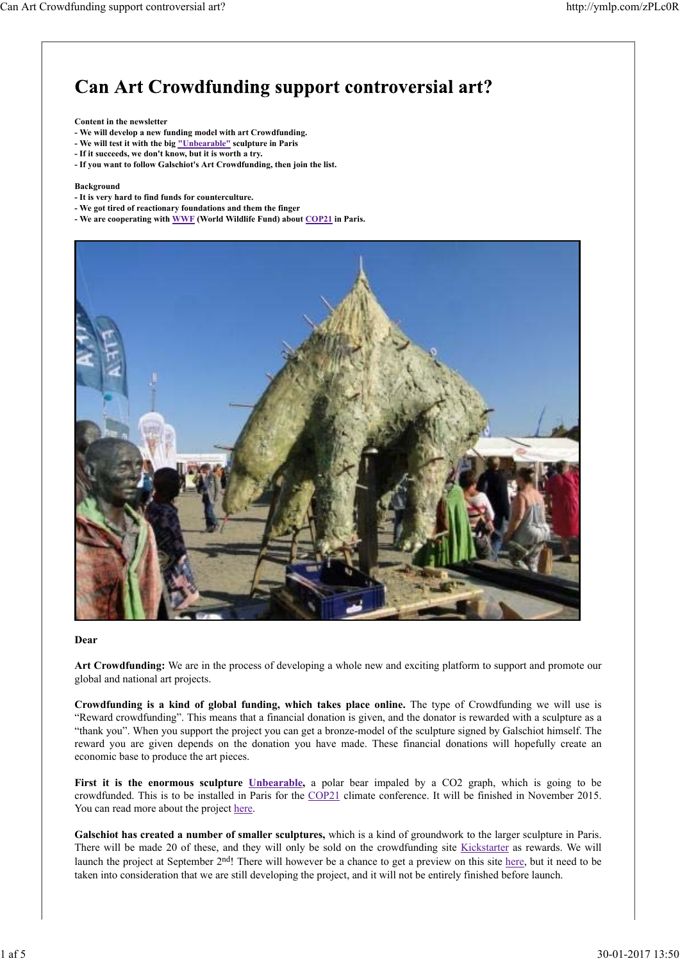# **Can Art Crowdfunding support controversial art?**

#### **Content in the newsletter**

- **We will develop a new funding model with art Crowdfunding.**
- **We will test it with the big "Unbearable" sculpture in Paris**
- **If it succeeds, we don't know, but it is worth a try.**
- **If you want to follow Galschiot's Art Crowdfunding, then join the list.**

#### **Background**

- **It is very hard to find funds for counterculture.**
- **We got tired of reactionary foundations and them the finger**
- **We are cooperating with WWF (World Wildlife Fund) about COP21 in Paris.**



#### **Dear**

**Art Crowdfunding:** We are in the process of developing a whole new and exciting platform to support and promote our global and national art projects.

**Crowdfunding is a kind of global funding, which takes place online.** The type of Crowdfunding we will use is "Reward crowdfunding". This means that a financial donation is given, and the donator is rewarded with a sculpture as a "thank you". When you support the project you can get a bronze-model of the sculpture signed by Galschiot himself. The reward you are given depends on the donation you have made. These financial donations will hopefully create an economic base to produce the art pieces.

First it is the enormous sculpture *Unbearable*, a polar bear impaled by a CO2 graph, which is going to be crowdfunded. This is to be installed in Paris for the COP21 climate conference. It will be finished in November 2015. You can read more about the project here.

**Galschiot has created a number of smaller sculptures,** which is a kind of groundwork to the larger sculpture in Paris. There will be made 20 of these, and they will only be sold on the crowdfunding site Kickstarter as rewards. We will launch the project at September 2<sup>nd</sup>! There will however be a chance to get a preview on this site here, but it need to be taken into consideration that we are still developing the project, and it will not be entirely finished before launch.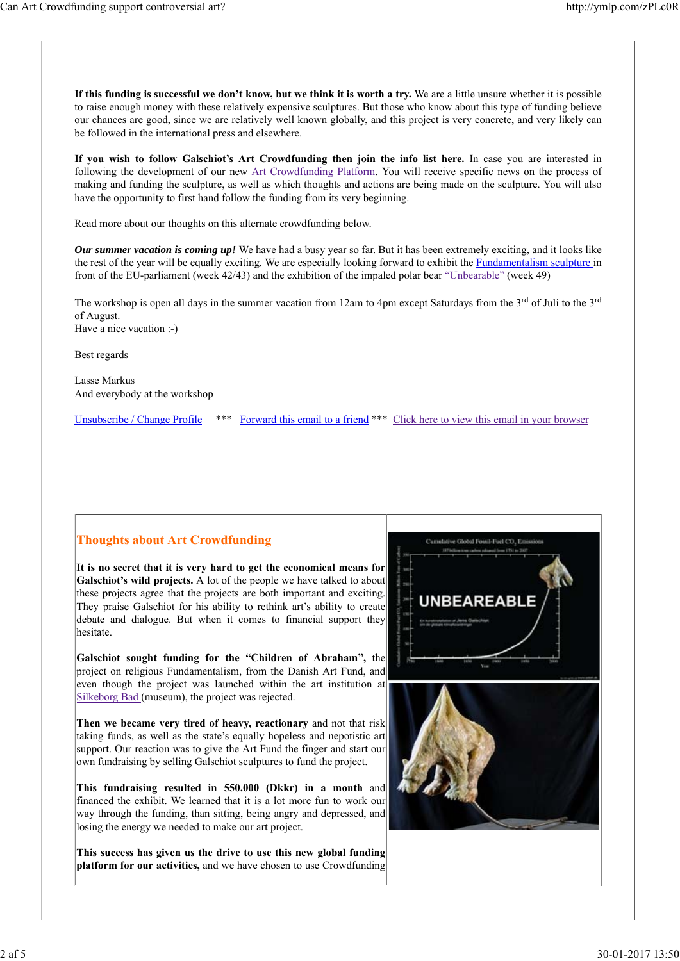**If this funding is successful we don't know, but we think it is worth a try.** We are a little unsure whether it is possible to raise enough money with these relatively expensive sculptures. But those who know about this type of funding believe our chances are good, since we are relatively well known globally, and this project is very concrete, and very likely can be followed in the international press and elsewhere.

**If you wish to follow Galschiot's Art Crowdfunding then join the info list here.** In case you are interested in following the development of our new Art Crowdfunding Platform. You will receive specific news on the process of making and funding the sculpture, as well as which thoughts and actions are being made on the sculpture. You will also have the opportunity to first hand follow the funding from its very beginning.

Read more about our thoughts on this alternate crowdfunding below.

*Our summer vacation is coming up!* We have had a busy year so far. But it has been extremely exciting, and it looks like the rest of the year will be equally exciting. We are especially looking forward to exhibit the Fundamentalism sculpture in front of the EU-parliament (week 42/43) and the exhibition of the impaled polar bear "Unbearable" (week 49)

The workshop is open all days in the summer vacation from 12am to 4pm except Saturdays from the 3<sup>rd</sup> of Juli to the 3<sup>rd</sup> of August.

Have a nice vacation :-)

Best regards

Lasse Markus And everybody at the workshop

Unsubscribe / Change Profile \*\*\* Forward this email to a friend \*\*\* Click here to view this email in your browser

### **Thoughts about Art Crowdfunding**

**It is no secret that it is very hard to get the economical means for Galschiot's wild projects.** A lot of the people we have talked to about these projects agree that the projects are both important and exciting. They praise Galschiot for his ability to rethink art's ability to create debate and dialogue. But when it comes to financial support they hesitate.

**Galschiot sought funding for the "Children of Abraham",** the project on religious Fundamentalism, from the Danish Art Fund, and even though the project was launched within the art institution at Silkeborg Bad (museum), the project was rejected.

**Then we became very tired of heavy, reactionary** and not that risk taking funds, as well as the state's equally hopeless and nepotistic art support. Our reaction was to give the Art Fund the finger and start our own fundraising by selling Galschiot sculptures to fund the project.

**This fundraising resulted in 550.000 (Dkkr) in a month** and financed the exhibit. We learned that it is a lot more fun to work our way through the funding, than sitting, being angry and depressed, and losing the energy we needed to make our art project.

**This success has given us the drive to use this new global funding platform for our activities,** and we have chosen to use Crowdfunding

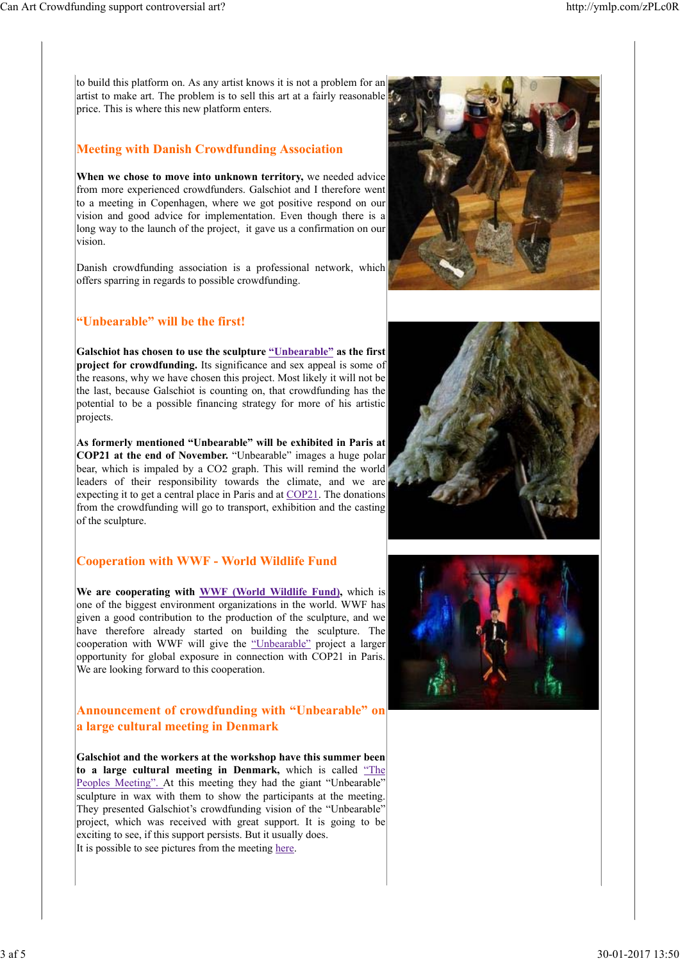to build this platform on. As any artist knows it is not a problem for an artist to make art. The problem is to sell this art at a fairly reasonable price. This is where this new platform enters.

#### **Meeting with Danish Crowdfunding Association**

**When we chose to move into unknown territory,** we needed advice from more experienced crowdfunders. Galschiot and I therefore went to a meeting in Copenhagen, where we got positive respond on our vision and good advice for implementation. Even though there is a long way to the launch of the project, it gave us a confirmation on our vision.

Danish crowdfunding association is a professional network, which offers sparring in regards to possible crowdfunding.

## **"Unbearable" will be the first!**

**Galschiot has chosen to use the sculpture "Unbearable" as the first project for crowdfunding.** Its significance and sex appeal is some of the reasons, why we have chosen this project. Most likely it will not be the last, because Galschiot is counting on, that crowdfunding has the potential to be a possible financing strategy for more of his artistic projects.

**As formerly mentioned "Unbearable" will be exhibited in Paris at COP21 at the end of November.** "Unbearable" images a huge polar bear, which is impaled by a CO2 graph. This will remind the world leaders of their responsibility towards the climate, and we are expecting it to get a central place in Paris and at COP21. The donations from the crowdfunding will go to transport, exhibition and the casting of the sculpture.

#### **Cooperation with WWF - World Wildlife Fund**

**We are cooperating with WWF (World Wildlife Fund),** which is one of the biggest environment organizations in the world. WWF has given a good contribution to the production of the sculpture, and we have therefore already started on building the sculpture. The cooperation with WWF will give the "Unbearable" project a larger opportunity for global exposure in connection with COP21 in Paris. We are looking forward to this cooperation.

#### **Announcement of crowdfunding with "Unbearable" on a large cultural meeting in Denmark**

**Galschiot and the workers at the workshop have this summer been to a large cultural meeting in Denmark,** which is called "The Peoples Meeting". At this meeting they had the giant "Unbearable" sculpture in wax with them to show the participants at the meeting. They presented Galschiot's crowdfunding vision of the "Unbearable" project, which was received with great support. It is going to be exciting to see, if this support persists. But it usually does. It is possible to see pictures from the meeting here.





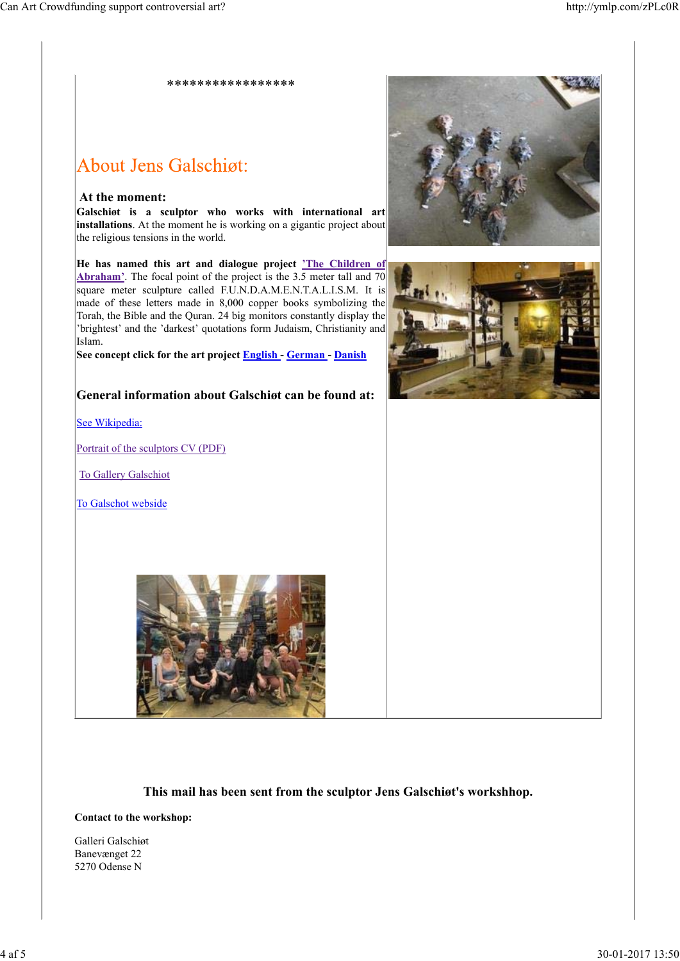\*\*\*\*\*\*\*\*\*\*\*\*\*\*\*\*\*

# About Jens Galschiøt:

#### **At the moment:**

**Galschiøt is a sculptor who works with international art installations**. At the moment he is working on a gigantic project about the religious tensions in the world.

**He has named this art and dialogue project 'The Children of Abraham'**. The focal point of the project is the 3.5 meter tall and 70 square meter sculpture called F.U.N.D.A.M.E.N.T.A.L.I.S.M. It is made of these letters made in 8,000 copper books symbolizing the Torah, the Bible and the Quran. 24 big monitors constantly display the 'brightest' and the 'darkest' quotations form Judaism, Christianity and Islam.

**See concept click for the art project English - German - Danish**

## **General information about Galschiøt can be found at:**

See Wikipedia:

Portrait of the sculptors CV (PDF)

To Gallery Galschiot

To Galschot webside







#### **This mail has been sent from the sculptor Jens Galschiøt's workshhop.**

#### **Contact to the workshop:**

Galleri Galschiøt Banevænget 22 5270 Odense N